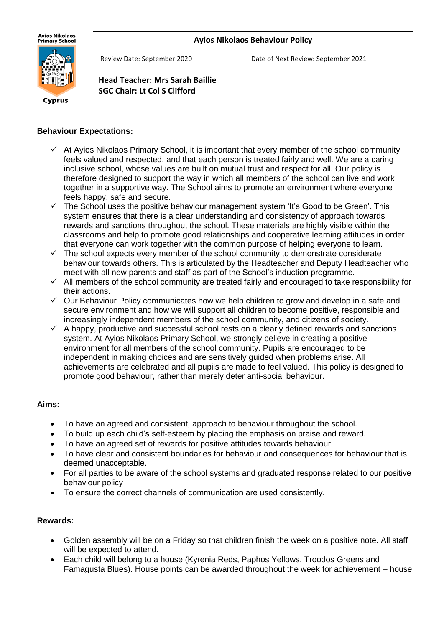#### **Ayios Nikolaos Behaviour Policy**

**Ayios Nikolaos** ny.cs m.co.cos<br>Primary School



Review Date: September 2020 Date of Next Review: September 2021

**Head Teacher: Mrs Sarah Baillie SGC Chair: Lt Col S Clifford**

#### **Behaviour Expectations:**

j

- $\checkmark$  At Ayios Nikolaos Primary School, it is important that every member of the school community feels valued and respected, and that each person is treated fairly and well. We are a caring inclusive school, whose values are built on mutual trust and respect for all. Our policy is therefore designed to support the way in which all members of the school can live and work together in a supportive way. The School aims to promote an environment where everyone feels happy, safe and secure.
- $\checkmark$  The School uses the positive behaviour management system 'It's Good to be Green'. This system ensures that there is a clear understanding and consistency of approach towards rewards and sanctions throughout the school. These materials are highly visible within the classrooms and help to promote good relationships and cooperative learning attitudes in order that everyone can work together with the common purpose of helping everyone to learn.
- $\checkmark$  The school expects every member of the school community to demonstrate considerate behaviour towards others. This is articulated by the Headteacher and Deputy Headteacher who meet with all new parents and staff as part of the School's induction programme.
- $\checkmark$  All members of the school community are treated fairly and encouraged to take responsibility for their actions.
- $\checkmark$  Our Behaviour Policy communicates how we help children to grow and develop in a safe and secure environment and how we will support all children to become positive, responsible and increasingly independent members of the school community, and citizens of society.
- $\checkmark$  A happy, productive and successful school rests on a clearly defined rewards and sanctions system. At Ayios Nikolaos Primary School, we strongly believe in creating a positive environment for all members of the school community. Pupils are encouraged to be independent in making choices and are sensitively guided when problems arise. All achievements are celebrated and all pupils are made to feel valued. This policy is designed to promote good behaviour, rather than merely deter anti-social behaviour.

#### **Aims:**

- To have an agreed and consistent, approach to behaviour throughout the school.
- To build up each child's self-esteem by placing the emphasis on praise and reward.
- To have an agreed set of rewards for positive attitudes towards behaviour
- To have clear and consistent boundaries for behaviour and consequences for behaviour that is deemed unacceptable.
- For all parties to be aware of the school systems and graduated response related to our positive behaviour policy
- To ensure the correct channels of communication are used consistently.

#### **Rewards:**

- Golden assembly will be on a Friday so that children finish the week on a positive note. All staff will be expected to attend.
- Each child will belong to a house (Kyrenia Reds, Paphos Yellows, Troodos Greens and Famagusta Blues). House points can be awarded throughout the week for achievement – house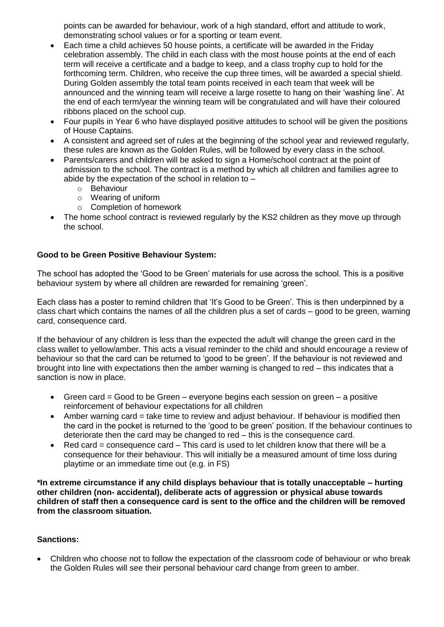points can be awarded for behaviour, work of a high standard, effort and attitude to work, demonstrating school values or for a sporting or team event.

- Each time a child achieves 50 house points, a certificate will be awarded in the Friday celebration assembly. The child in each class with the most house points at the end of each term will receive a certificate and a badge to keep, and a class trophy cup to hold for the forthcoming term. Children, who receive the cup three times, will be awarded a special shield. During Golden assembly the total team points received in each team that week will be announced and the winning team will receive a large rosette to hang on their 'washing line'. At the end of each term/year the winning team will be congratulated and will have their coloured ribbons placed on the school cup.
- Four pupils in Year 6 who have displayed positive attitudes to school will be given the positions of House Captains.
- A consistent and agreed set of rules at the beginning of the school year and reviewed regularly, these rules are known as the Golden Rules, will be followed by every class in the school.
- Parents/carers and children will be asked to sign a Home/school contract at the point of admission to the school. The contract is a method by which all children and families agree to abide by the expectation of the school in relation to  $$ 
	- o Behaviour
	- o Wearing of uniform
	- o Completion of homework
- The home school contract is reviewed regularly by the KS2 children as they move up through the school.

#### **Good to be Green Positive Behaviour System:**

The school has adopted the 'Good to be Green' materials for use across the school. This is a positive behaviour system by where all children are rewarded for remaining 'green'.

Each class has a poster to remind children that 'It's Good to be Green'. This is then underpinned by a class chart which contains the names of all the children plus a set of cards – good to be green, warning card, consequence card.

If the behaviour of any children is less than the expected the adult will change the green card in the class wallet to yellow/amber. This acts a visual reminder to the child and should encourage a review of behaviour so that the card can be returned to 'good to be green'. If the behaviour is not reviewed and brought into line with expectations then the amber warning is changed to red – this indicates that a sanction is now in place.

- Green card = Good to be Green everyone begins each session on green a positive reinforcement of behaviour expectations for all children
- Amber warning card = take time to review and adjust behaviour. If behaviour is modified then the card in the pocket is returned to the 'good to be green' position. If the behaviour continues to deteriorate then the card may be changed to red – this is the consequence card.
- Red card  $=$  consequence card  $-$  This card is used to let children know that there will be a consequence for their behaviour. This will initially be a measured amount of time loss during playtime or an immediate time out (e.g. in FS)

**\*In extreme circumstance if any child displays behaviour that is totally unacceptable – hurting other children (non- accidental), deliberate acts of aggression or physical abuse towards children of staff then a consequence card is sent to the office and the children will be removed from the classroom situation.**

#### **Sanctions:**

• Children who choose not to follow the expectation of the classroom code of behaviour or who break the Golden Rules will see their personal behaviour card change from green to amber.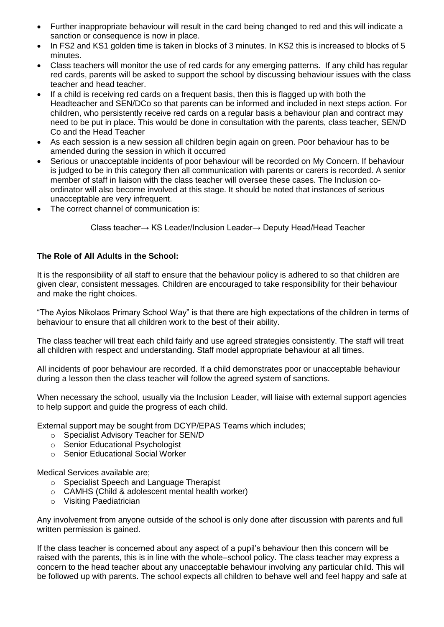- Further inappropriate behaviour will result in the card being changed to red and this will indicate a sanction or consequence is now in place.
- In FS2 and KS1 golden time is taken in blocks of 3 minutes. In KS2 this is increased to blocks of 5 minutes.
- Class teachers will monitor the use of red cards for any emerging patterns. If any child has regular red cards, parents will be asked to support the school by discussing behaviour issues with the class teacher and head teacher.
- If a child is receiving red cards on a frequent basis, then this is flagged up with both the Headteacher and SEN/DCo so that parents can be informed and included in next steps action. For children, who persistently receive red cards on a regular basis a behaviour plan and contract may need to be put in place. This would be done in consultation with the parents, class teacher, SEN/D Co and the Head Teacher
- As each session is a new session all children begin again on green. Poor behaviour has to be amended during the session in which it occurred
- Serious or unacceptable incidents of poor behaviour will be recorded on My Concern. If behaviour is judged to be in this category then all communication with parents or carers is recorded. A senior member of staff in liaison with the class teacher will oversee these cases. The Inclusion coordinator will also become involved at this stage. It should be noted that instances of serious unacceptable are very infrequent.
- The correct channel of communication is:

Class teacher→ KS Leader/Inclusion Leader→ Deputy Head/Head Teacher

#### **The Role of All Adults in the School:**

It is the responsibility of all staff to ensure that the behaviour policy is adhered to so that children are given clear, consistent messages. Children are encouraged to take responsibility for their behaviour and make the right choices.

"The Ayios Nikolaos Primary School Way" is that there are high expectations of the children in terms of behaviour to ensure that all children work to the best of their ability.

The class teacher will treat each child fairly and use agreed strategies consistently. The staff will treat all children with respect and understanding. Staff model appropriate behaviour at all times.

All incidents of poor behaviour are recorded. If a child demonstrates poor or unacceptable behaviour during a lesson then the class teacher will follow the agreed system of sanctions.

When necessary the school, usually via the Inclusion Leader, will liaise with external support agencies to help support and guide the progress of each child.

External support may be sought from DCYP/EPAS Teams which includes;

- o Specialist Advisory Teacher for SEN/D
- o Senior Educational Psychologist
- o Senior Educational Social Worker

Medical Services available are;

- o Specialist Speech and Language Therapist
- o CAMHS (Child & adolescent mental health worker)
- o Visiting Paediatrician

Any involvement from anyone outside of the school is only done after discussion with parents and full written permission is gained.

If the class teacher is concerned about any aspect of a pupil's behaviour then this concern will be raised with the parents, this is in line with the whole–school policy. The class teacher may express a concern to the head teacher about any unacceptable behaviour involving any particular child. This will be followed up with parents. The school expects all children to behave well and feel happy and safe at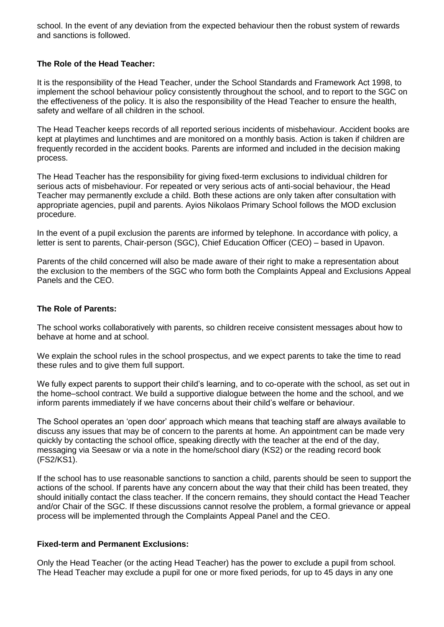school. In the event of any deviation from the expected behaviour then the robust system of rewards and sanctions is followed.

#### **The Role of the Head Teacher:**

It is the responsibility of the Head Teacher, under the School Standards and Framework Act 1998, to implement the school behaviour policy consistently throughout the school, and to report to the SGC on the effectiveness of the policy. It is also the responsibility of the Head Teacher to ensure the health, safety and welfare of all children in the school.

The Head Teacher keeps records of all reported serious incidents of misbehaviour. Accident books are kept at playtimes and lunchtimes and are monitored on a monthly basis. Action is taken if children are frequently recorded in the accident books. Parents are informed and included in the decision making process.

The Head Teacher has the responsibility for giving fixed-term exclusions to individual children for serious acts of misbehaviour. For repeated or very serious acts of anti-social behaviour, the Head Teacher may permanently exclude a child. Both these actions are only taken after consultation with appropriate agencies, pupil and parents. Ayios Nikolaos Primary School follows the MOD exclusion procedure.

In the event of a pupil exclusion the parents are informed by telephone. In accordance with policy, a letter is sent to parents, Chair-person (SGC), Chief Education Officer (CEO) – based in Upavon.

Parents of the child concerned will also be made aware of their right to make a representation about the exclusion to the members of the SGC who form both the Complaints Appeal and Exclusions Appeal Panels and the CEO.

#### **The Role of Parents:**

The school works collaboratively with parents, so children receive consistent messages about how to behave at home and at school.

We explain the school rules in the school prospectus, and we expect parents to take the time to read these rules and to give them full support.

We fully expect parents to support their child's learning, and to co-operate with the school, as set out in the home–school contract. We build a supportive dialogue between the home and the school, and we inform parents immediately if we have concerns about their child's welfare or behaviour.

The School operates an 'open door' approach which means that teaching staff are always available to discuss any issues that may be of concern to the parents at home. An appointment can be made very quickly by contacting the school office, speaking directly with the teacher at the end of the day, messaging via Seesaw or via a note in the home/school diary (KS2) or the reading record book (FS2/KS1).

If the school has to use reasonable sanctions to sanction a child, parents should be seen to support the actions of the school. If parents have any concern about the way that their child has been treated, they should initially contact the class teacher. If the concern remains, they should contact the Head Teacher and/or Chair of the SGC. If these discussions cannot resolve the problem, a formal grievance or appeal process will be implemented through the Complaints Appeal Panel and the CEO.

#### **Fixed-term and Permanent Exclusions:**

Only the Head Teacher (or the acting Head Teacher) has the power to exclude a pupil from school. The Head Teacher may exclude a pupil for one or more fixed periods, for up to 45 days in any one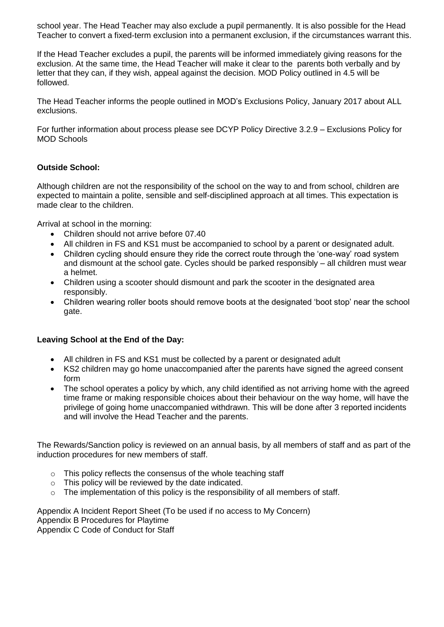school year. The Head Teacher may also exclude a pupil permanently. It is also possible for the Head Teacher to convert a fixed-term exclusion into a permanent exclusion, if the circumstances warrant this.

If the Head Teacher excludes a pupil, the parents will be informed immediately giving reasons for the exclusion. At the same time, the Head Teacher will make it clear to the parents both verbally and by letter that they can, if they wish, appeal against the decision. MOD Policy outlined in 4.5 will be followed.

The Head Teacher informs the people outlined in MOD's Exclusions Policy, January 2017 about ALL exclusions.

For further information about process please see DCYP Policy Directive 3.2.9 – Exclusions Policy for MOD Schools

#### **Outside School:**

Although children are not the responsibility of the school on the way to and from school, children are expected to maintain a polite, sensible and self-disciplined approach at all times. This expectation is made clear to the children.

Arrival at school in the morning:

- Children should not arrive before 07.40
- All children in FS and KS1 must be accompanied to school by a parent or designated adult.
- Children cycling should ensure they ride the correct route through the 'one-way' road system and dismount at the school gate. Cycles should be parked responsibly – all children must wear a helmet.
- Children using a scooter should dismount and park the scooter in the designated area responsibly.
- Children wearing roller boots should remove boots at the designated 'boot stop' near the school gate.

#### **Leaving School at the End of the Day:**

- All children in FS and KS1 must be collected by a parent or designated adult
- KS2 children may go home unaccompanied after the parents have signed the agreed consent form
- The school operates a policy by which, any child identified as not arriving home with the agreed time frame or making responsible choices about their behaviour on the way home, will have the privilege of going home unaccompanied withdrawn. This will be done after 3 reported incidents and will involve the Head Teacher and the parents.

The Rewards/Sanction policy is reviewed on an annual basis, by all members of staff and as part of the induction procedures for new members of staff.

- o This policy reflects the consensus of the whole teaching staff
- $\circ$  This policy will be reviewed by the date indicated.
- o The implementation of this policy is the responsibility of all members of staff.

Appendix A Incident Report Sheet (To be used if no access to My Concern) Appendix B Procedures for Playtime Appendix C Code of Conduct for Staff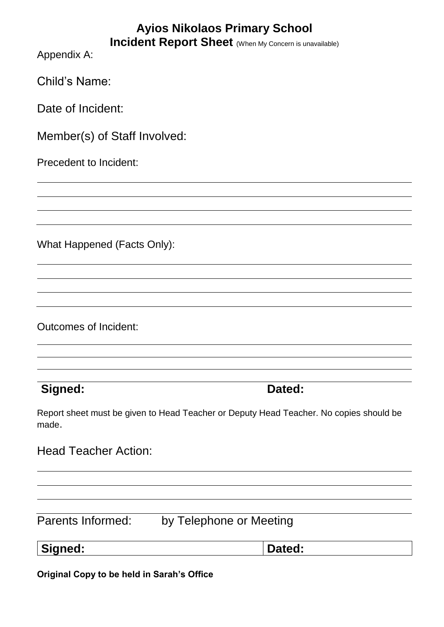# **Ayios Nikolaos Primary School**

| <b>Incident Report Sheet</b> (When My Concern is unavailable)                                   |        |
|-------------------------------------------------------------------------------------------------|--------|
| Appendix A:                                                                                     |        |
| <b>Child's Name:</b>                                                                            |        |
| Date of Incident:                                                                               |        |
| Member(s) of Staff Involved:                                                                    |        |
| Precedent to Incident:                                                                          |        |
|                                                                                                 |        |
|                                                                                                 |        |
| What Happened (Facts Only):                                                                     |        |
|                                                                                                 |        |
|                                                                                                 |        |
| <b>Outcomes of Incident:</b>                                                                    |        |
|                                                                                                 |        |
|                                                                                                 |        |
| Signed:                                                                                         | Dated: |
| Report sheet must be given to Head Teacher or Deputy Head Teacher. No copies should be<br>made. |        |
| <b>Head Teacher Action:</b>                                                                     |        |
|                                                                                                 |        |
|                                                                                                 |        |
| Parents Informed:<br>by Telephone or Meeting                                                    |        |
| Signed:                                                                                         | Dated: |
| Original Copy to be held in Sarah's Office                                                      |        |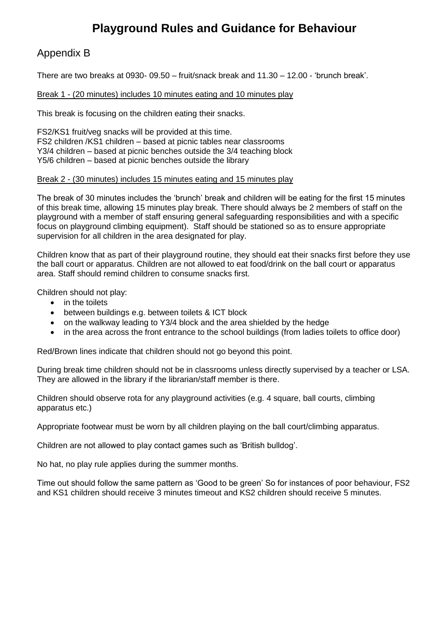# **Playground Rules and Guidance for Behaviour**

## Appendix B

There are two breaks at 0930- 09.50 – fruit/snack break and 11.30 – 12.00 - 'brunch break'.

#### Break 1 - (20 minutes) includes 10 minutes eating and 10 minutes play

This break is focusing on the children eating their snacks.

FS2/KS1 fruit/veg snacks will be provided at this time. FS2 children /KS1 children – based at picnic tables near classrooms Y3/4 children – based at picnic benches outside the 3/4 teaching block Y5/6 children – based at picnic benches outside the library

#### Break 2 - (30 minutes) includes 15 minutes eating and 15 minutes play

The break of 30 minutes includes the 'brunch' break and children will be eating for the first 15 minutes of this break time, allowing 15 minutes play break. There should always be 2 members of staff on the playground with a member of staff ensuring general safeguarding responsibilities and with a specific focus on playground climbing equipment). Staff should be stationed so as to ensure appropriate supervision for all children in the area designated for play.

Children know that as part of their playground routine, they should eat their snacks first before they use the ball court or apparatus. Children are not allowed to eat food/drink on the ball court or apparatus area. Staff should remind children to consume snacks first.

Children should not play:

- in the toilets
- between buildings e.g. between toilets & ICT block
- on the walkway leading to Y3/4 block and the area shielded by the hedge
- in the area across the front entrance to the school buildings (from ladies toilets to office door)

Red/Brown lines indicate that children should not go beyond this point.

During break time children should not be in classrooms unless directly supervised by a teacher or LSA. They are allowed in the library if the librarian/staff member is there.

Children should observe rota for any playground activities (e.g. 4 square, ball courts, climbing apparatus etc.)

Appropriate footwear must be worn by all children playing on the ball court/climbing apparatus.

Children are not allowed to play contact games such as 'British bulldog'.

No hat, no play rule applies during the summer months.

Time out should follow the same pattern as 'Good to be green' So for instances of poor behaviour, FS2 and KS1 children should receive 3 minutes timeout and KS2 children should receive 5 minutes.